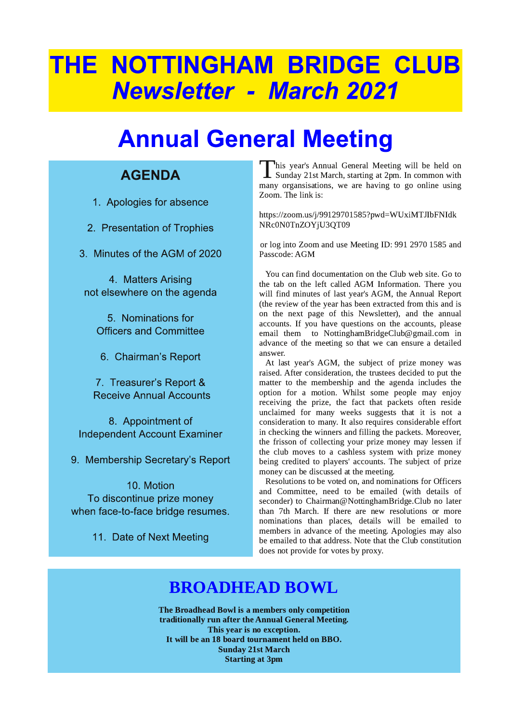# THE NOTTINGHAM BRIDGE CLUB **Newsletter - March 2021**

# **Annual General Meeting**

### **AGENDA**

1. Apologies for absence

- 2. Presentation of Trophies
- 3. Minutes of the AGM of 2020

4. Matters Arising not elsewhere on the agenda

5. Nominations for **Officers and Committee** 

6. Chairman's Report

7. Treasurer's Report & **Receive Annual Accounts** 

8. Appointment of **Independent Account Examiner** 

9. Membership Secretary's Report

10. Motion To discontinue prize money when face-to-face bridge resumes.

11. Date of Next Meeting

This year's Annual General Meeting will be held on Sunday 21st March, starting at 2pm. In common with many organsisations, we are having to go online using Zoom. The link is:

https://zoom.us/j/99129701585?pwd=WUxiMTJIbFNIdk NRc0N0TnZOYjU3QT09

or log into Zoom and use Meeting ID: 991 2970 1585 and Passcode: AGM

You can find documentation on the Club web site. Go to the tab on the left called AGM Information. There you will find minutes of last year's AGM, the Annual Report (the review of the year has been extracted from this and is on the next page of this Newsletter), and the annual accounts. If you have questions on the accounts, please email them to NottinghamBridgeClub@gmail.com in advance of the meeting so that we can ensure a detailed answer.

At last year's AGM, the subject of prize money was raised. After consideration, the trustees decided to put the matter to the membership and the agenda includes the option for a motion. Whilst some people may enjoy receiving the prize, the fact that packets often reside unclaimed for many weeks suggests that it is not a consideration to many. It also requires considerable effort in checking the winners and filling the packets. Moreover, the frisson of collecting your prize money may lessen if the club moves to a cashless system with prize money being credited to players' accounts. The subject of prize money can be discussed at the meeting.

Resolutions to be voted on, and nominations for Officers and Committee, need to be emailed (with details of seconder) to Chairman@NottinghamBridge.Club no later than 7th March. If there are new resolutions or more nominations than places, details will be emailed to members in advance of the meeting. Apologies may also be emailed to that address. Note that the Club constitution does not provide for votes by proxy.

### **BROADHEAD BOWL**

The Broadhead Bowl is a members only competition traditionally run after the Annual General Meeting. This year is no exception. It will be an 18 board tournament held on BBO. **Sunday 21st March Starting at 3pm**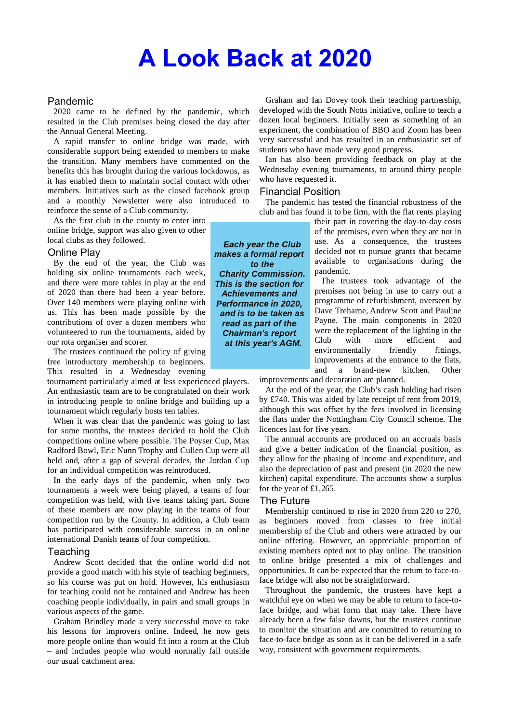### **A Look Back at 2020**

#### Pandemic

2020 came to be defined by the pandemic, which resulted in the Club premises being closed the day after the Annual General Meeting.

A rapid transfer to online bridge was made, with considerable support being extended to members to make the transition. Many members have commented on the benefits this has brought during the various lockdowns, as it has enabled them to maintain social contact with other members. Initiatives such as the closed facebook group and a monthly Newsletter were also introduced to reinforce the sense of a Club community.

As the first club in the county to enter into online bridge, support was also given to other local clubs as they followed.

#### **Online Plav**

By the end of the year, the Club was holding six online tournaments each week, and there were more tables in play at the end of 2020 than there had been a year before. Over 140 members were playing online with us. This has been made possible by the contributions of over a dozen members who volunteered to run the tournaments, aided by our rota organiser and scorer.

The trustees continued the policy of giving free introductory membership to beginners. This resulted in a Wednesday evening

tournament particularly aimed at less experienced players. An enthusiastic team are to be congratulated on their work in introducing people to online bridge and building up a tournament which regularly hosts ten tables.

When it was clear that the pandemic was going to last for some months, the trustees decided to hold the Club competitions online where possible. The Poyser Cup, Max Radford Bowl, Eric Nunn Trophy and Cullen Cup were all held and, after a gap of several decades, the Jordan Cup for an individual competition was reintroduced.

In the early days of the pandemic, when only two tournaments a week were being played, a teams of four competition was held, with five teams taking part. Some of these members are now playing in the teams of four competition run by the County. In addition, a Club team has participated with considerable success in an online international Danish teams of four competition.

#### Teaching

Andrew Scott decided that the online world did not provide a good match with his style of teaching beginners, so his course was put on hold. However, his enthusiasm for teaching could not be contained and Andrew has been coaching people individually, in pairs and small groups in various aspects of the game.

Graham Brindley made a very successful move to take his lessons for improvers online. Indeed, he now gets more people online than would fit into a room at the Club - and includes people who would normally fall outside our usual catchment area.

Graham and Ian Dovey took their teaching partnership, developed with the South Notts initiative, online to teach a dozen local beginners. Initially seen as something of an experiment, the combination of BBO and Zoom has been very successful and has resulted in an enthusiastic set of students who have made very good progress.

Ian has also been providing feedback on play at the Wednesday evening tournaments, to around thirty people who have requested it.

#### **Financial Position**

The pandemic has tested the financial robustness of the club and has found it to be firm, with the flat rents playing

> their part in covering the day-to-day costs of the premises, even when they are not in use. As a consequence, the trustees decided not to pursue grants that became available to organisations during the pandemic.

The trustees took advantage of the premises not being in use to carry out a programme of refurbishment, overseen by Dave Treharne, Andrew Scott and Pauline Payne. The main components in 2020 were the replacement of the lighting in the Club with more efficient and environmentally friendly fittings, improvements at the entrance to the flats, and a brand-new kitchen. Other

improvements and decoration are planned.

At the end of the year, the Club's cash holding had risen by £740. This was aided by late receipt of rent from 2019, although this was offset by the fees involved in licensing the flats under the Nottingham City Council scheme. The licences last for five years.

The annual accounts are produced on an accruals basis and give a better indication of the financial position, as they allow for the phasing of income and expenditure, and also the depreciation of past and present (in 2020 the new kitchen) capital expenditure. The accounts show a surplus for the year of  $£1,265$ .

#### The Future

Membership continued to rise in 2020 from 220 to 270, as beginners moved from classes to free initial membership of the Club and others were attracted by our online offering. However, an appreciable proportion of existing members opted not to play online. The transition to online bridge presented a mix of challenges and opportunities. It can be expected that the return to face-toface bridge will also not be straightforward.

Throughout the pandemic, the trustees have kept a watchful eve on when we may be able to return to face-toface bridge, and what form that may take. There have already been a few false dawns, but the trustees continue to monitor the situation and are committed to returning to face-to-face bridge as soon as it can be delivered in a safe way, consistent with government requirements.

**Each year the Club** makes a formal report to the **Charity Commission.** This is the section for **Achievements and Performance in 2020,** and is to be taken as read as part of the **Chairman's report** at this year's AGM.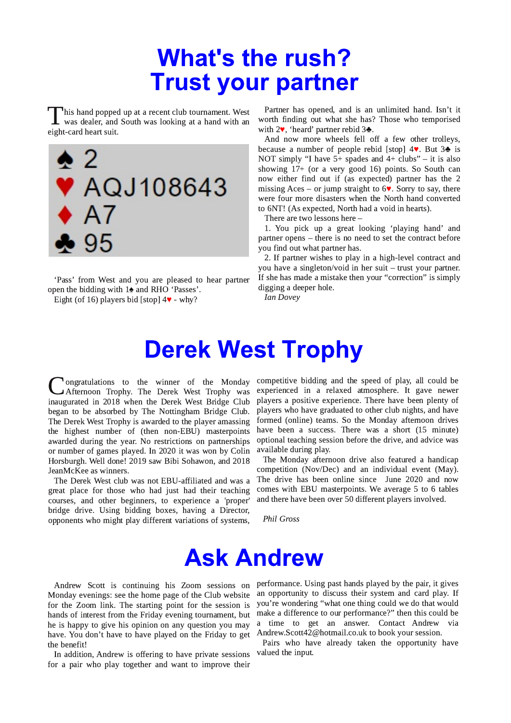### **What's the rush? Trust your partner**

his hand popped up at a recent club tournament. West was dealer, and South was looking at a hand with an eight-card heart suit.



'Pass' from West and you are pleased to hear partner open the bidding with 1<sup>2</sup> and RHO 'Passes'.

Eight (of 16) players bid [stop]  $4\mathbf{v}$  - why?

Partner has opened, and is an unlimited hand. Isn't it worth finding out what she has? Those who temporised with  $2\blacktriangledown$ , 'heard' partner rebid  $3\blacktriangle$ .

And now more wheels fell off a few other trolleys, because a number of people rebid [stop]  $4$ . But  $3$ . is NOT simply "I have 5+ spades and 4+ clubs" - it is also showing 17+ (or a very good 16) points. So South can now either find out if (as expected) partner has the 2 missing Aces – or jump straight to  $6\blacktriangledown$ . Sorry to say, there were four more disasters when the North hand converted to 6NT! (As expected, North had a void in hearts).

There are two lessons here -

1. You pick up a great looking 'playing hand' and partner opens – there is no need to set the contract before you find out what partner has.

2. If partner wishes to play in a high-level contract and you have a singleton/void in her suit - trust your partner. If she has made a mistake then your "correction" is simply digging a deeper hole.

**Ian Dovey** 

### **Derek West Trophy**

ongratulations to the winner of the Monday Afternoon Trophy. The Derek West Trophy was inaugurated in 2018 when the Derek West Bridge Club began to be absorbed by The Nottingham Bridge Club. The Derek West Trophy is awarded to the player amassing the highest number of (then non-EBU) masterpoints awarded during the year. No restrictions on partnerships or number of games played. In 2020 it was won by Colin Horsburgh. Well done! 2019 saw Bibi Sohawon, and 2018 JeanMcKee as winners.

The Derek West club was not EBU-affiliated and was a great place for those who had just had their teaching courses, and other beginners, to experience a 'proper' bridge drive. Using bidding boxes, having a Director, opponents who might play different variations of systems,

competitive bidding and the speed of play, all could be experienced in a relaxed atmosphere. It gave newer players a positive experience. There have been plenty of players who have graduated to other club nights, and have formed (online) teams. So the Monday afternoon drives have been a success. There was a short (15 minute) optional teaching session before the drive, and advice was available during play.

The Monday afternoon drive also featured a handicap competition (Nov/Dec) and an individual event (May). The drive has been online since June 2020 and now comes with EBU masterpoints. We average 5 to 6 tables and there have been over 50 different players involved.

**Phil Gross** 

### **Ask Andrew**

Monday evenings: see the home page of the Club website for the Zoom link. The starting point for the session is hands of interest from the Friday evening tournament, but he is happy to give his opinion on any question you may have. You don't have to have played on the Friday to get the benefit!

In addition, Andrew is offering to have private sessions for a pair who play together and want to improve their

Andrew Scott is continuing his Zoom sessions on performance. Using past hands played by the pair, it gives an opportunity to discuss their system and card play. If you're wondering "what one thing could we do that would make a difference to our performance?" then this could be time to get an answer. Contact Andrew via  $\mathbf{a}$ Andrew.Scott42@hotmail.co.uk to book your session.

> Pairs who have already taken the opportunity have valued the input.